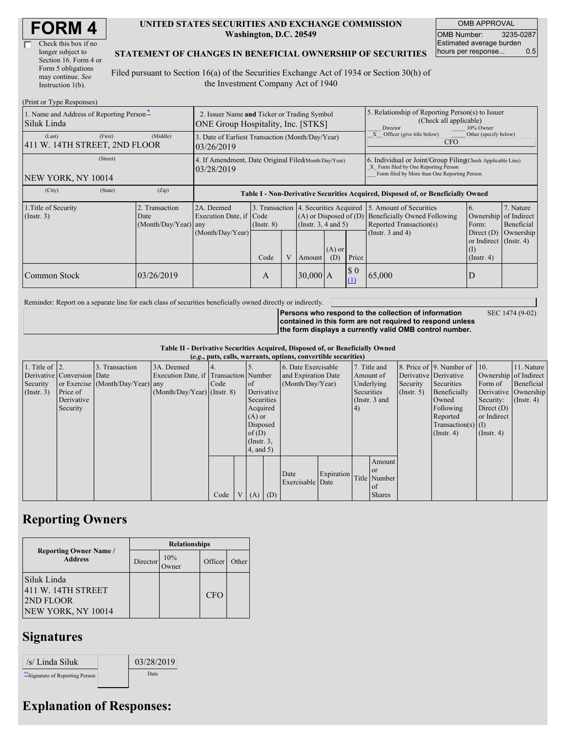| <b>FORM4</b> |
|--------------|
|--------------|

| Check this box if no  |  |
|-----------------------|--|
| longer subject to     |  |
| Section 16. Form 4 or |  |
| Form 5 obligations    |  |
| may continue. See     |  |
| Instruction 1(b).     |  |

#### **UNITED STATES SECURITIES AND EXCHANGE COMMISSION Washington, D.C. 20549**

OMB APPROVAL OMB Number: 3235-0287 Estimated average burden hours per response... 0.5

#### **STATEMENT OF CHANGES IN BENEFICIAL OWNERSHIP OF SECURITIES**

Filed pursuant to Section 16(a) of the Securities Exchange Act of 1934 or Section 30(h) of the Investment Company Act of 1940

| (Print or Type Responses)                               |                                                                                          |                                                  |                                                                |                 |   |                                                                                               |                                                                                                                                                    |                                                                   |                                                                                                             |                                                      |                                      |  |
|---------------------------------------------------------|------------------------------------------------------------------------------------------|--------------------------------------------------|----------------------------------------------------------------|-----------------|---|-----------------------------------------------------------------------------------------------|----------------------------------------------------------------------------------------------------------------------------------------------------|-------------------------------------------------------------------|-------------------------------------------------------------------------------------------------------------|------------------------------------------------------|--------------------------------------|--|
| 1. Name and Address of Reporting Person*<br>Siluk Linda | 2. Issuer Name and Ticker or Trading Symbol<br><b>ONE Group Hospitality, Inc. [STKS]</b> |                                                  |                                                                |                 |   |                                                                                               | 5. Relationship of Reporting Person(s) to Issuer<br>(Check all applicable)<br>Director<br>10% Owner                                                |                                                                   |                                                                                                             |                                                      |                                      |  |
| (Last)<br>411 W. 14TH STREET, 2ND FLOOR                 | (First)                                                                                  | (Middle)                                         | 3. Date of Earliest Transaction (Month/Day/Year)<br>03/26/2019 |                 |   |                                                                                               |                                                                                                                                                    | Other (specify below)<br>Officer (give title below)<br><b>CFO</b> |                                                                                                             |                                                      |                                      |  |
| NEW YORK, NY 10014                                      | 4. If Amendment, Date Original Filed(Month/Day/Year)<br>03/28/2019                       |                                                  |                                                                |                 |   |                                                                                               | 6. Individual or Joint/Group Filing(Check Applicable Line)<br>X Form filed by One Reporting Person<br>Form filed by More than One Reporting Person |                                                                   |                                                                                                             |                                                      |                                      |  |
| (City)                                                  | (State)                                                                                  | (Zip)                                            |                                                                |                 |   |                                                                                               |                                                                                                                                                    |                                                                   | Table I - Non-Derivative Securities Acquired, Disposed of, or Beneficially Owned                            |                                                      |                                      |  |
| 1. Title of Security<br>$($ Instr. 3 $)$                |                                                                                          | 2. Transaction<br>Date<br>$(Month/Day/Year)$ any | 2A. Deemed<br>Execution Date, if Code<br>(Month/Day/Year)      | $($ Instr. $8)$ |   | 3. Transaction 4. Securities Acquired<br>$(A)$ or Disposed of $(D)$<br>$($ Instr. 3, 4 and 5) |                                                                                                                                                    |                                                                   | 5. Amount of Securities<br>Beneficially Owned Following<br>Reported Transaction(s)<br>(Instr. $3$ and $4$ ) | 6.<br>Ownership of Indirect<br>Form:<br>Direct $(D)$ | 7. Nature<br>Beneficial<br>Ownership |  |
|                                                         |                                                                                          |                                                  |                                                                | Code            | V | Amount                                                                                        | $(A)$ or<br>(D)                                                                                                                                    | Price                                                             |                                                                                                             | or Indirect (Instr. 4)<br>(I)<br>$($ Instr. 4 $)$    |                                      |  |
| Common Stock                                            |                                                                                          | 03/26/2019                                       |                                                                | A               |   | $30,000$ A                                                                                    |                                                                                                                                                    | $\boldsymbol{\mathsf{S}}$ 0<br>$\Omega$                           | 65,000                                                                                                      | D                                                    |                                      |  |

Reminder: Report on a separate line for each class of securities beneficially owned directly or indirectly.

**Persons who respond to the collection of information**

SEC 1474 (9-02)

**contained in this form are not required to respond unless the form displays a currently valid OMB control number.**

**Table II - Derivative Securities Acquired, Disposed of, or Beneficially Owned**

| (e.g., puts, calls, warrants, options, convertible securities) |                            |                                  |                                       |      |              |                 |            |                     |            |            |               |                  |                              |                       |                      |            |         |            |
|----------------------------------------------------------------|----------------------------|----------------------------------|---------------------------------------|------|--------------|-----------------|------------|---------------------|------------|------------|---------------|------------------|------------------------------|-----------------------|----------------------|------------|---------|------------|
| 1. Title of $\vert$ 2.                                         |                            | 3. Transaction                   | 3A. Deemed                            |      |              |                 |            | 6. Date Exercisable |            |            | 7. Title and  |                  | 8. Price of 9. Number of 10. |                       | 11. Nature           |            |         |            |
|                                                                | Derivative Conversion Date |                                  | Execution Date, if Transaction Number |      |              |                 |            | and Expiration Date |            | Amount of  |               |                  | Derivative Derivative        | Ownership of Indirect |                      |            |         |            |
| Security                                                       |                            | or Exercise (Month/Day/Year) any |                                       | Code |              | $\circ$ f       |            | (Month/Day/Year)    |            |            |               |                  |                              | Underlying            | Security             | Securities | Form of | Beneficial |
| $($ Instr. 3 $)$                                               | Price of                   |                                  | $(Month/Day/Year)$ (Instr. 8)         |      |              |                 | Derivative |                     |            | Securities |               | $($ Instr. 5 $)$ | Beneficially                 |                       | Derivative Ownership |            |         |            |
|                                                                | Derivative                 |                                  |                                       |      |              | Securities      |            |                     |            |            | (Instr. 3 and |                  | Owned                        | Security:             | $($ Instr. 4 $)$     |            |         |            |
|                                                                | Security                   |                                  |                                       |      |              | Acquired        |            |                     |            | (4)        |               |                  | Following                    | Direct $(D)$          |                      |            |         |            |
|                                                                |                            |                                  |                                       |      |              | $(A)$ or        |            |                     |            |            |               |                  | Reported                     | or Indirect           |                      |            |         |            |
|                                                                |                            |                                  |                                       |      |              | Disposed        |            |                     |            |            |               |                  | $Transaction(s)$ (I)         |                       |                      |            |         |            |
|                                                                |                            |                                  |                                       |      |              | of $(D)$        |            |                     |            |            |               |                  | $($ Instr. 4 $)$             | $($ Instr. 4 $)$      |                      |            |         |            |
|                                                                |                            |                                  |                                       |      |              | $($ Instr. $3,$ |            |                     |            |            |               |                  |                              |                       |                      |            |         |            |
|                                                                |                            |                                  |                                       |      |              | 4, and 5)       |            |                     |            |            |               |                  |                              |                       |                      |            |         |            |
|                                                                |                            |                                  |                                       |      |              |                 |            |                     |            |            | Amount        |                  |                              |                       |                      |            |         |            |
|                                                                |                            |                                  |                                       |      |              |                 |            | Date                | Expiration |            | <b>or</b>     |                  |                              |                       |                      |            |         |            |
|                                                                |                            |                                  |                                       |      |              |                 |            | Exercisable Date    |            |            | Title Number  |                  |                              |                       |                      |            |         |            |
|                                                                |                            |                                  |                                       |      |              |                 |            |                     |            |            | of            |                  |                              |                       |                      |            |         |            |
|                                                                |                            |                                  |                                       | Code | $\mathbf{V}$ | $(A)$ $(D)$     |            |                     |            |            | <b>Shares</b> |                  |                              |                       |                      |            |         |            |

# **Reporting Owners**

|                                                                             | <b>Relationships</b> |              |            |       |  |  |  |  |
|-----------------------------------------------------------------------------|----------------------|--------------|------------|-------|--|--|--|--|
| <b>Reporting Owner Name /</b><br><b>Address</b>                             | Director             | 10%<br>)wner | Officer    | Other |  |  |  |  |
| Siluk Linda<br>411 W. 14TH STREET<br><b>2ND FLOOR</b><br>NEW YORK, NY 10014 |                      |              | <b>CFO</b> |       |  |  |  |  |

### **Signatures**

| /s/ Linda Siluk                | 03/28/2019 |
|--------------------------------|------------|
| "Signature of Reporting Person | Date       |

# **Explanation of Responses:**